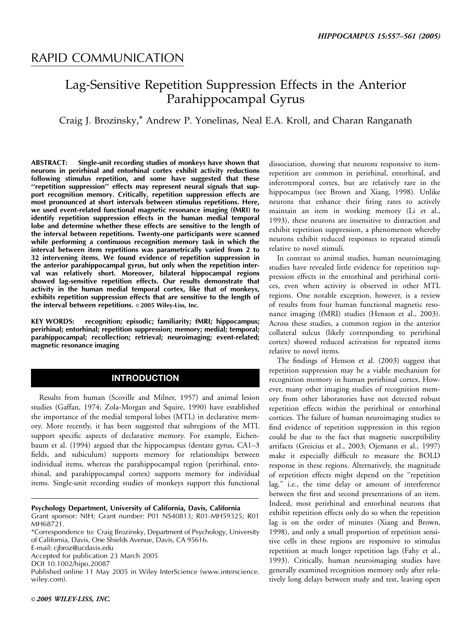## RAPID COMMUNICATION

# Lag-Sensitive Repetition Suppression Effects in the Anterior Parahippocampal Gyrus

### Craig J. Brozinsky,\* Andrew P. Yonelinas, Neal E.A. Kroll, and Charan Ranganath

ABSTRACT: Single-unit recording studies of monkeys have shown that neurons in perirhinal and entorhinal cortex exhibit activity reductions following stimulus repetition, and some have suggested that these ''repetition suppression'' effects may represent neural signals that support recognition memory. Critically, repetition suppression effects are most pronounced at short intervals between stimulus repetitions. Here, we used event-related functional magnetic resonance imaging (fMRI) to identify repetition suppression effects in the human medial temporal lobe and determine whether these effects are sensitive to the length of the interval between repetitions. Twenty-one participants were scanned while performing a continuous recognition memory task in which the interval between item repetitions was parametrically varied from 2 to 32 intervening items. We found evidence of repetition suppression in the anterior parahippocampal gyrus, but only when the repetition interval was relatively short. Moreover, bilateral hippocampal regions showed lag-sensitive repetition effects. Our results demonstrate that activity in the human medial temporal cortex, like that of monkeys, exhibits repetition suppression effects that are sensitive to the length of the interval between repetitions.  $\circ$  2005 Wiley-Liss, Inc.

KEY WORDS: recognition; episodic; familiarity; fMRI; hippocampus; perirhinal; entorhinal; repetition suppression; memory; medial; temporal; parahippocampal; recollection; retrieval; neuroimaging; event-related; magnetic resonance imaging

### INTRODUCTION

Results from human (Scoville and Milner, 1957) and animal lesion studies (Gaffan, 1974; Zola-Morgan and Squire, 1990) have established the importance of the medial temporal lobes (MTL) in declarative memory. More recently, it has been suggested that subregions of the MTL support specific aspects of declarative memory. For example, Eichenbaum et al. (1994) argued that the hippocampus (dentate gyrus, CA1–3 fields, and subiculum) supports memory for relationships between individual items, whereas the parahippocampal region (perirhinal, entorhinal, and parahippocampal cortex) supports memory for individual items. Single-unit recording studies of monkeys support this functional

Psychology Department, University of California, Davis, California Grant sponsor: NIH; Grant number: P01 NS40813; R01-MH59325; R01 MH68721.

\*Correspondence to: Craig Brozinsky, Department of Psychology, University of California, Davis, One Shields Avenue, Davis, CA 95616.

E-mail: cjbroz@ucdavis.edu

Accepted for publication 23 March 2005

DOI 10.1002/hipo.20087

Published online 11 May 2005 in Wiley InterScience (www.interscience. wiley.com).

dissociation, showing that neurons responsive to itemrepetition are common in perirhinal, entorhinal, and inferotemporal cortex, but are relatively rare in the hippocampus (see Brown and Xiang, 1998). Unlike neurons that enhance their firing rates to actively maintain an item in working memory (Li et al., 1993), these neurons are insensitive to distraction and exhibit repetition suppression, a phenomenon whereby neurons exhibit reduced responses to repeated stimuli relative to novel stimuli.

In contrast to animal studies, human neuroimaging studies have revealed little evidence for repetition suppression effects in the entorhinal and perirhinal cortices, even when activity is observed in other MTL regions. One notable exception, however, is a review of results from four human functional magnetic resonance imaging (fMRI) studies (Henson et al., 2003). Across these studies, a common region in the anterior collateral sulcus (likely corresponding to perirhinal cortex) showed reduced activation for repeated items relative to novel items.

The findings of Henson et al. (2003) suggest that repetition suppression may be a viable mechanism for recognition memory in human perirhinal cortex. However, many other imaging studies of recognition memory from other laboratories have not detected robust repetition effects within the perirhinal or entorhinal cortices. The failure of human neuroimaging studies to find evidence of repetition suppression in this region could be due to the fact that magnetic susceptibility artifacts (Greicius et al., 2003; Ojemann et al., 1997) make it especially difficult to measure the BOLD response in these regions. Alternatively, the magnitude of repetition effects might depend on the ''repetition lag,'' i.e., the time delay or amount of interference between the first and second presentations of an item. Indeed, most perirhinal and entorhinal neurons that exhibit repetition effects only do so when the repetition lag is on the order of minutes (Xiang and Brown, 1998), and only a small proportion of repetition sensitive cells in these regions are responsive to stimulus repetition at much longer repetition lags (Fahy et al., 1993). Critically, human neuroimaging studies have generally examined recognition memory only after relatively long delays between study and test, leaving open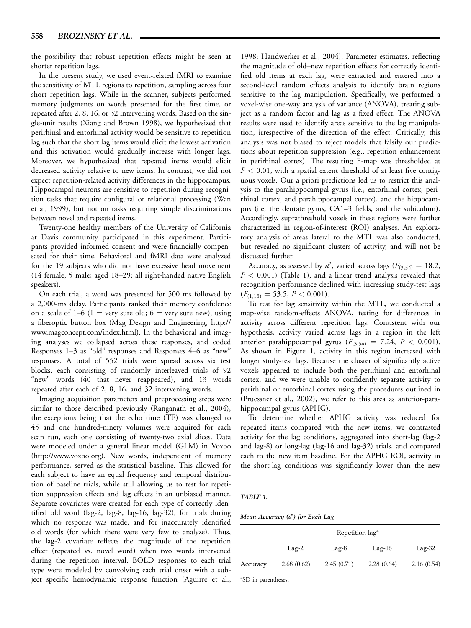the possibility that robust repetition effects might be seen at shorter repetition lags.

In the present study, we used event-related fMRI to examine the sensitivity of MTL regions to repetition, sampling across four short repetition lags. While in the scanner, subjects performed memory judgments on words presented for the first time, or repeated after 2, 8, 16, or 32 intervening words. Based on the single-unit results (Xiang and Brown 1998), we hypothesized that perirhinal and entorhinal activity would be sensitive to repetition lag such that the short lag items would elicit the lowest activation and this activation would gradually increase with longer lags. Moreover, we hypothesized that repeated items would elicit decreased activity relative to new items. In contrast, we did not expect repetition-related activity differences in the hippocampus. Hippocampal neurons are sensitive to repetition during recognition tasks that require configural or relational processing (Wan et al, 1999), but not on tasks requiring simple discriminations between novel and repeated items.

Twenty-one healthy members of the University of California at Davis community participated in this experiment. Participants provided informed consent and were financially compensated for their time. Behavioral and fMRI data were analyzed for the 19 subjects who did not have excessive head movement (14 female, 5 male; aged 18–29; all right-handed native English speakers).

On each trial, a word was presented for 500 ms followed by a 2,000-ms delay. Participants ranked their memory confidence on a scale of  $1-6$   $(1 = \text{very sure old}; 6 = \text{very sure new})$ , using a fiberoptic button box (Mag Design and Engineering, http:// www.magconcept.com/index.html). In the behavioral and imaging analyses we collapsed across these responses, and coded Responses 1–3 as ''old'' responses and Responses 4–6 as ''new'' responses. A total of 552 trials were spread across six test blocks, each consisting of randomly interleaved trials of 92 "new" words (40 that never reappeared), and 13 words repeated after each of 2, 8, 16, and 32 intervening words.

Imaging acquisition parameters and preprocessing steps were similar to those described previously (Ranganath et al., 2004), the exceptions being that the echo time (TE) was changed to 45 and one hundred-ninety volumes were acquired for each scan run, each one consisting of twenty-two axial slices. Data were modeled under a general linear model (GLM) in Voxbo (http://www.voxbo.org). New words, independent of memory performance, served as the statistical baseline. This allowed for each subject to have an equal frequency and temporal distribution of baseline trials, while still allowing us to test for repetition suppression effects and lag effects in an unbiased manner. Separate covariates were created for each type of correctly identified old word (lag-2, lag-8, lag-16, lag-32), for trials during which no response was made, and for inaccurately identified old words (for which there were very few to analyze). Thus, the lag-2 covariate reflects the magnitude of the repetition effect (repeated vs. novel word) when two words intervened during the repetition interval. BOLD responses to each trial type were modeled by convolving each trial onset with a subject specific hemodynamic response function (Aguirre et al., 1998; Handwerker et al., 2004). Parameter estimates, reflecting the magnitude of old–new repetition effects for correctly identified old items at each lag, were extracted and entered into a second-level random effects analysis to identify brain regions sensitive to the lag manipulation. Specifically, we performed a voxel-wise one-way analysis of variance (ANOVA), treating subject as a random factor and lag as a fixed effect. The ANOVA results were used to identify areas sensitive to the lag manipulation, irrespective of the direction of the effect. Critically, this analysis was not biased to reject models that falsify our predictions about repetition suppression (e.g., repetition enhancement in perirhinal cortex). The resulting F-map was thresholded at  $P < 0.01$ , with a spatial extent threshold of at least five contiguous voxels. Our a priori predictions led us to restrict this analysis to the parahippocampal gyrus (i.e., entorhinal cortex, perirhinal cortex, and parahippocampal cortex), and the hippocampus (i.e, the dentate gyrus, CA1–3 fields, and the subiculum). Accordingly, suprathreshold voxels in these regions were further characterized in region-of-interest (ROI) analyses. An exploratory analysis of areas lateral to the MTL was also conducted, but revealed no significant clusters of activity, and will not be discussed further.

Accuracy, as assessed by d', varied across lags ( $F_{(3,54)} = 18.2$ ,  $P < 0.001$ ) (Table 1), and a linear trend analysis revealed that recognition performance declined with increasing study-test lags  $(F_{(1,18)} = 53.5, P < 0.001).$ 

To test for lag sensitivity within the MTL, we conducted a map-wise random-effects ANOVA, testing for differences in activity across different repetition lags. Consistent with our hypothesis, activity varied across lags in a region in the left anterior parahippocampal gyrus  $(F_{(3,54)} = 7.24, P < 0.001)$ . As shown in Figure 1, activity in this region increased with longer study-test lags. Because the cluster of significantly active voxels appeared to include both the perirhinal and entorhinal cortex, and we were unable to confidently separate activity to perirhinal or entorhinal cortex using the procedures outlined in (Pruessner et al., 2002), we refer to this area as anterior-parahippocampal gyrus (APHG).

To determine whether APHG activity was reduced for repeated items compared with the new items, we contrasted activity for the lag conditions, aggregated into short-lag (lag-2 and lag-8) or long-lag (lag-16 and lag-32) trials, and compared each to the new item baseline. For the APHG ROI, activity in the short-lag conditions was significantly lower than the new

| × |  |
|---|--|
|---|--|

Mean Accuracy (d') for Each Lag

|          | Repetition lag <sup>a</sup> |            |            |            |  |
|----------|-----------------------------|------------|------------|------------|--|
|          | $Lag-2$                     | $Lag-8$    | $Lag-16$   | $Lag-32$   |  |
| Accuracy | 2.68(0.62)                  | 2.45(0.71) | 2.28(0.64) | 2.16(0.54) |  |

<sup>a</sup>SD in parentheses.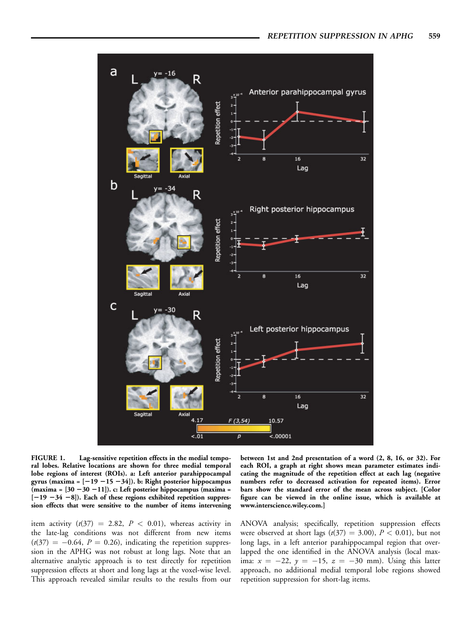

FIGURE 1. Lag-sensitive repetition effects in the medial temporal lobes. Relative locations are shown for three medial temporal lobe regions of interest (ROIs). a: Left anterior parahippocampal gyrus (maxima =  $[-19 - 15 - 34]$ ). b: Right posterior hippocampus (maxima =  $[30 - 30 -11]$ ). c: Left posterior hippocampus (maxima =  $[-19 -34 -8]$ ). Each of these regions exhibited repetition suppression effects that were sensitive to the number of items intervening

item activity  $(t(37) = 2.82, P < 0.01)$ , whereas activity in the late-lag conditions was not different from new items  $(t(37) = -0.64, P = 0.26)$ , indicating the repetition suppression in the APHG was not robust at long lags. Note that an alternative analytic approach is to test directly for repetition suppression effects at short and long lags at the voxel-wise level. This approach revealed similar results to the results from our

between 1st and 2nd presentation of a word (2, 8, 16, or 32). For each ROI, a graph at right shows mean parameter estimates indicating the magnitude of the repetition effect at each lag (negative numbers refer to decreased activation for repeated items). Error bars show the standard error of the mean across subject. [Color figure can be viewed in the online issue, which is available at www.interscience.wiley.com.]

ANOVA analysis; specifically, repetition suppression effects were observed at short lags  $(t(37) = 3.00)$ ,  $P < 0.01$ ), but not long lags, in a left anterior parahippocampal region that overlapped the one identified in the ANOVA analysis (local maxima:  $x = -22$ ,  $y = -15$ ,  $z = -30$  mm). Using this latter approach, no additional medial temporal lobe regions showed repetition suppression for short-lag items.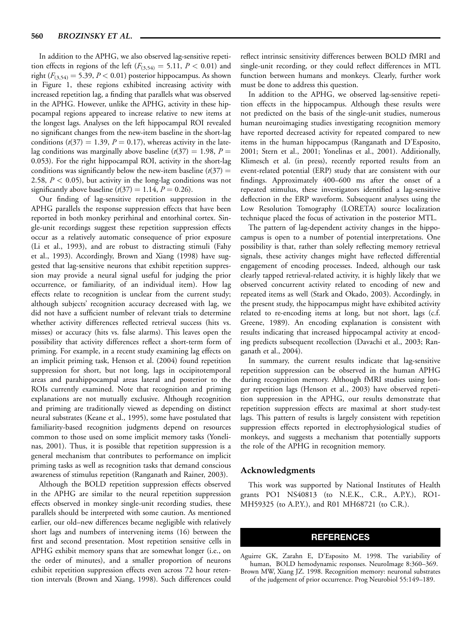In addition to the APHG, we also observed lag-sensitive repetition effects in regions of the left  $(F_{(3,54)} = 5.11, P < 0.01)$  and right ( $F_{(3,54)} = 5.39$ ,  $P < 0.01$ ) posterior hippocampus. As shown in Figure 1, these regions exhibited increasing activity with increased repetition lag, a finding that parallels what was observed in the APHG. However, unlike the APHG, activity in these hippocampal regions appeared to increase relative to new items at the longest lags. Analyses on the left hippocampal ROI revealed no significant changes from the new-item baseline in the short-lag conditions ( $t(37) = 1.39$ ,  $P = 0.17$ ), whereas activity in the latelag conditions was marginally above baseline  $(t(37) = 1.98, P =$ 0.053). For the right hippocampal ROI, activity in the short-lag conditions was significantly below the new-item baseline  $(t(37)) =$ 2.58,  $P < 0.05$ ), but activity in the long-lag conditions was not significantly above baseline  $(t(37) = 1.14, P = 0.26)$ .

Our finding of lag-sensitive repetition suppression in the APHG parallels the response suppression effects that have been reported in both monkey perirhinal and entorhinal cortex. Single-unit recordings suggest these repetition suppression effects occur as a relatively automatic consequence of prior exposure (Li et al., 1993), and are robust to distracting stimuli (Fahy et al., 1993). Accordingly, Brown and Xiang (1998) have suggested that lag-sensitive neurons that exhibit repetition suppression may provide a neural signal useful for judging the prior occurrence, or familiarity, of an individual item). How lag effects relate to recognition is unclear from the current study; although subjects' recognition accuracy decreased with lag, we did not have a sufficient number of relevant trials to determine whether activity differences reflected retrieval success (hits vs. misses) or accuracy (hits vs. false alarms). This leaves open the possibility that activity differences reflect a short-term form of priming. For example, in a recent study examining lag effects on an implicit priming task, Henson et al. (2004) found repetition suppression for short, but not long, lags in occipitotemporal areas and parahippocampal areas lateral and posterior to the ROIs currently examined. Note that recognition and priming explanations are not mutually exclusive. Although recognition and priming are traditionally viewed as depending on distinct neural substrates (Keane et al., 1995), some have postulated that familiarity-based recognition judgments depend on resources common to those used on some implicit memory tasks (Yonelinas, 2001). Thus, it is possible that repetition suppression is a general mechanism that contributes to performance on implicit priming tasks as well as recognition tasks that demand conscious awareness of stimulus repetition (Ranganath and Rainer, 2003).

Although the BOLD repetition suppression effects observed in the APHG are similar to the neural repetition suppression effects observed in monkey single-unit recording studies, these parallels should be interpreted with some caution. As mentioned earlier, our old–new differences became negligible with relatively short lags and numbers of intervening items (16) between the first and second presentation. Most repetition sensitive cells in APHG exhibit memory spans that are somewhat longer (i.e., on the order of minutes), and a smaller proportion of neurons exhibit repetition suppression effects even across 72 hour retention intervals (Brown and Xiang, 1998). Such differences could

reflect intrinsic sensitivity differences between BOLD fMRI and single-unit recording, or they could reflect differences in MTL function between humans and monkeys. Clearly, further work must be done to address this question.

In addition to the APHG, we observed lag-sensitive repetition effects in the hippocampus. Although these results were not predicted on the basis of the single-unit studies, numerous human neuroimaging studies investigating recognition memory have reported decreased activity for repeated compared to new items in the human hippocampus (Ranganath and D'Esposito, 2001; Stern et al., 2001; Yonelinas et al., 2001). Additionally, Klimesch et al. (in press), recently reported results from an event-related potential (ERP) study that are consistent with our findings. Approximately 400–600 ms after the onset of a repeated stimulus, these investigators identified a lag-sensitive deflection in the ERP waveform. Subsequent analyses using the Low Resolution Tomography (LORETA) source localization technique placed the focus of activation in the posterior MTL.

The pattern of lag-dependent activity changes in the hippocampus is open to a number of potential interpretations. One possibility is that, rather than solely reflecting memory retrieval signals, these activity changes might have reflected differential engagement of encoding processes. Indeed, although our task clearly tapped retrieval-related activity, it is highly likely that we observed concurrent activity related to encoding of new and repeated items as well (Stark and Okado, 2003). Accordingly, in the present study, the hippocampus might have exhibited activity related to re-encoding items at long, but not short, lags (c.f. Greene, 1989). An encoding explanation is consistent with results indicating that increased hippocampal activity at encoding predicts subsequent recollection (Davachi et al., 2003; Ranganath et al., 2004).

In summary, the current results indicate that lag-sensitive repetition suppression can be observed in the human APHG during recognition memory. Although fMRI studies using longer repetition lags (Henson et al., 2003) have observed repetition suppression in the APHG, our results demonstrate that repetition suppression effects are maximal at short study-test lags. This pattern of results is largely consistent with repetition suppression effects reported in electrophysiological studies of monkeys, and suggests a mechanism that potentially supports the role of the APHG in recognition memory.

#### Acknowledgments

This work was supported by National Institutes of Health grants PO1 NS40813 (to N.E.K., C.R., A.P.Y.), RO1- MH59325 (to A.P.Y.), and R01 MH68721 (to C.R.).

### REFERENCES

Aguirre GK, Zarahn E, D'Esposito M. 1998. The variability of human, BOLD hemodynamic responses. NeuroImage 8:360–369. Brown MW, Xiang JZ. 1998. Recognition memory: neuronal substrates of the judgement of prior occurrence. Prog Neurobiol 55:149–189.